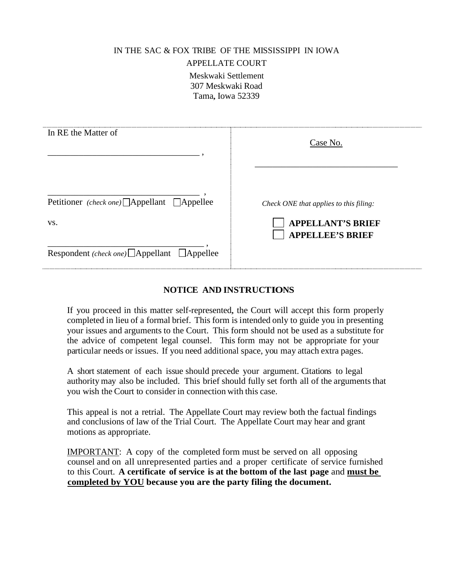#### IN THE SAC & FOX TRIBE OF THE MISSISSIPPI IN IOWA

#### APPELLATE COURT

Meskwaki Settlement 307 Meskwaki Road Tama, Iowa 52339

| In RE the Matter of                                     | Case No.                                                           |
|---------------------------------------------------------|--------------------------------------------------------------------|
| Petitioner (check one) △ Appellant △ Appellee<br>VS.    | Check ONE that applies to this filing:<br><b>APPELLANT'S BRIEF</b> |
| Respondent (check one) $\Box$ Appellant $\Box$ Appellee | <b>APPELLEE'S BRIEF</b>                                            |

## **NOTICE AND INSTRUCTIONS**

If you proceed in this matter self-represented, the Court will accept this form properly completed in lieu of a formal brief. This form is intended only to guide you in presenting your issues and arguments to the Court. This form should not be used as a substitute for the advice of competent legal counsel. This form may not be appropriate for your particular needs or issues. If you need additional space, you may attach extra pages.

A short statement of each issue should precede your argument. Citations to legal authority may also be included. This brief should fully set forth all of the arguments that you wish the Court to consider in connection with this case.

This appeal is not a retrial. The Appellate Court may review both the factual findings and conclusions of law of the Trial Court. The Appellate Court may hear and grant motions as appropriate.

IMPORTANT: A copy of the completed form must be served on all opposing counsel and on all unrepresented parties and a proper certificate of service furnished to this Court. **A certificate of service is at the bottom of the last page** and **must be completed by YOU because you are the party filing the document.**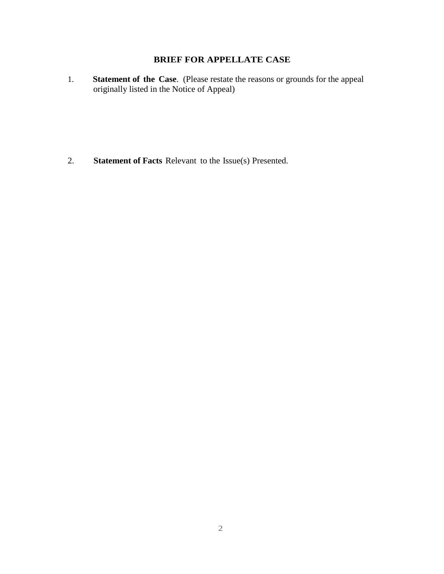# **BRIEF FOR APPELLATE CASE**

1. **Statement of the Case**. (Please restate the reasons or grounds for the appeal originally listed in the Notice of Appeal)

2. **Statement of Facts** Relevant to the Issue(s) Presented.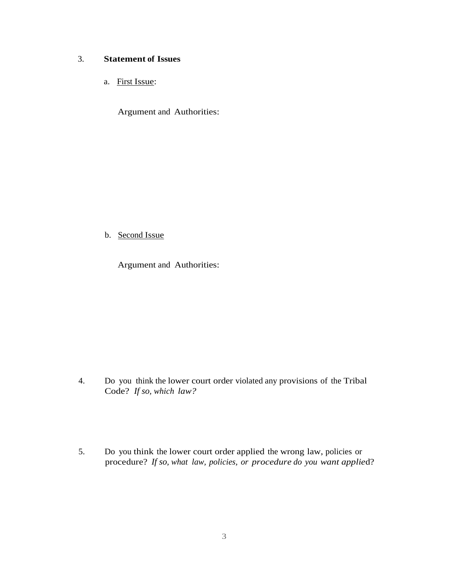## 3. **Statement of Issues**

a. First Issue:

Argument and Authorities:

## b. Second Issue

Argument and Authorities:

- 4. Do you think the lower court order violated any provisions of the Tribal Code? *If so, which law?*
- 5. Do you think the lower court order applied the wrong law, policies or procedure? *If so, what law, policies, or procedure do you want applie*d?